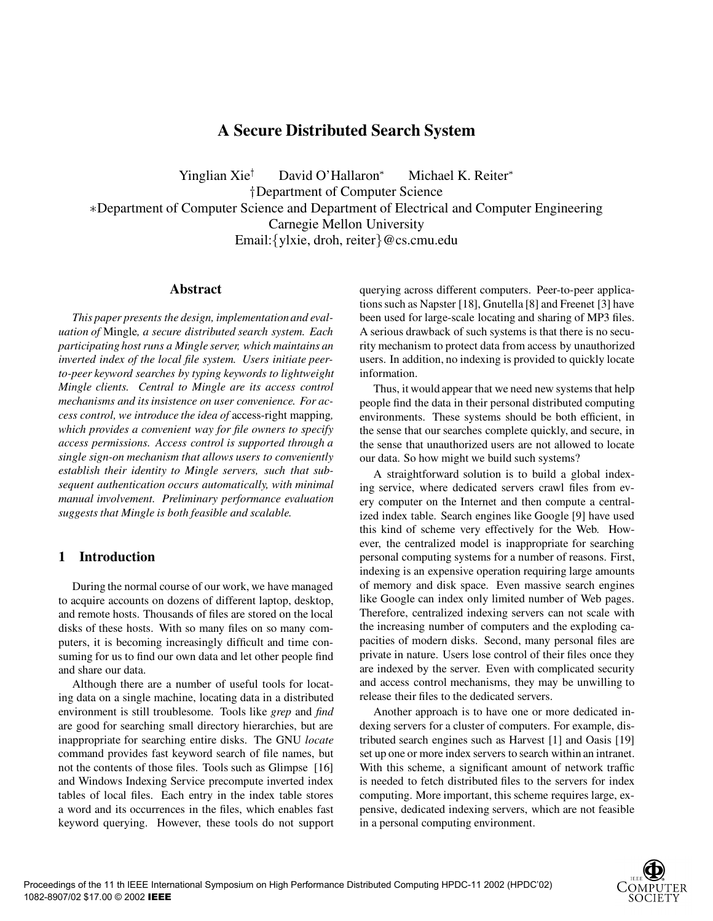# **A Secure Distributed Search System**

Yinglian Xie<sup>†</sup> David O'Hallaron<sup>\*</sup> Michael K. Reiter †Department of Computer Science Department of Computer Science and Department of Electrical and Computer Engineering Carnegie Mellon University Email: { ylxie, droh, reiter } @cs.cmu.edu

# **Abstract**

*This paper presents the design, implementationand evaluation of* Mingle*, a secure distributed search system. Each participating host runs a Mingle server, which maintains an inverted index of the local file system. Users initiate peerto-peer keyword searches by typing keywords to lightweight Mingle clients. Central to Mingle are its access control mechanisms and its insistence on user convenience. For access control, we introduce the idea of* access-right mapping*, which provides a convenient way for file owners to specify access permissions. Access control is supported through a single sign-on mechanism that allows users to conveniently establish their identity to Mingle servers, such that subsequent authentication occurs automatically, with minimal manual involvement. Preliminary performance evaluation suggests that Mingle is both feasible and scalable.*

# **1 Introduction**

During the normal course of our work, we have managed to acquire accounts on dozens of different laptop, desktop, and remote hosts. Thousands of files are stored on the local disks of these hosts. With so many files on so many computers, it is becoming increasingly difficult and time consuming for us to find our own data and let other people find and share our data.

Although there are a number of useful tools for locating data on a single machine, locating data in a distributed environment is still troublesome. Tools like *grep* and *find* are good for searching small directory hierarchies, but are inappropriate for searching entire disks. The GNU *locate* command provides fast keyword search of file names, but not the contents of those files. Tools such as Glimpse [16] and Windows Indexing Service precompute inverted index tables of local files. Each entry in the index table stores a word and its occurrences in the files, which enables fast keyword querying. However, these tools do not support

querying across different computers. Peer-to-peer applications such as Napster [18], Gnutella [8] and Freenet [3] have been used for large-scale locating and sharing of MP3 files. A serious drawback of such systems is that there is no security mechanism to protect data from access by unauthorized users. In addition, no indexing is provided to quickly locate information.

Thus, it would appear that we need new systems that help people find the data in their personal distributed computing environments. These systems should be both efficient, in the sense that our searches complete quickly, and secure, in the sense that unauthorized users are not allowed to locate our data. So how might we build such systems?

A straightforward solution is to build a global indexing service, where dedicated servers crawl files from every computer on the Internet and then compute a centralized index table. Search engines like Google [9] have used this kind of scheme very effectively for the Web. However, the centralized model is inappropriate for searching personal computing systems for a number of reasons. First, indexing is an expensive operation requiring large amounts of memory and disk space. Even massive search engines like Google can index only limited number of Web pages. Therefore, centralized indexing servers can not scale with the increasing number of computers and the exploding capacities of modern disks. Second, many personal files are private in nature. Users lose control of their files once they are indexed by the server. Even with complicated security and access control mechanisms, they may be unwilling to release their files to the dedicated servers.

Another approach is to have one or more dedicated indexing servers for a cluster of computers. For example, distributed search engines such as Harvest [1] and Oasis [19] set up one or more index servers to search within an intranet. With this scheme, a significant amount of network traffic is needed to fetch distributed files to the servers for index computing. More important, this scheme requires large, expensive, dedicated indexing servers, which are not feasible in a personal computing environment.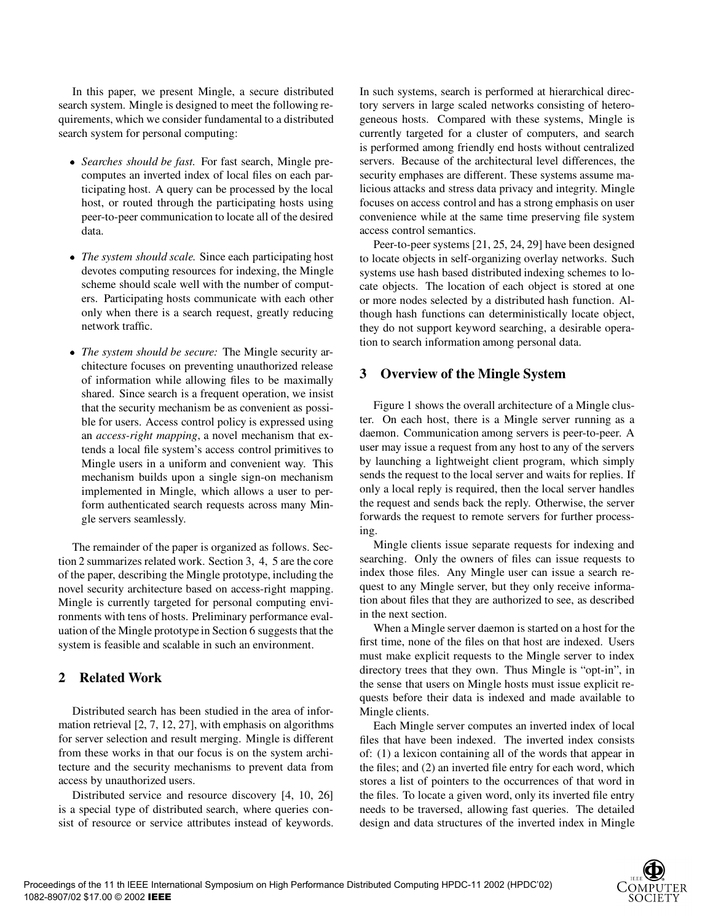In this paper, we present Mingle, a secure distributed search system. Mingle is designed to meet the following requirements, which we consider fundamental to a distributed search system for personal computing:

- *Searches should be fast.* For fast search, Mingle precomputes an inverted index of local files on each participating host. A query can be processed by the local host, or routed through the participating hosts using peer-to-peer communication to locate all of the desired data.
- *The system should scale.* Since each participating host devotes computing resources for indexing, the Mingle scheme should scale well with the number of computers. Participating hosts communicate with each other only when there is a search request, greatly reducing network traffic.
- *The system should be secure:* The Mingle security architecture focuses on preventing unauthorized release of information while allowing files to be maximally shared. Since search is a frequent operation, we insist that the security mechanism be as convenient as possible for users. Access control policy is expressed using an *access-right mapping*, a novel mechanism that extends a local file system's access control primitives to Mingle users in a uniform and convenient way. This mechanism builds upon a single sign-on mechanism implemented in Mingle, which allows a user to perform authenticated search requests across many Mingle servers seamlessly.

The remainder of the paper is organized as follows. Section 2 summarizes related work. Section 3, 4, 5 are the core of the paper, describing the Mingle prototype, including the novel security architecture based on access-right mapping. Mingle is currently targeted for personal computing environments with tens of hosts. Preliminary performance evaluation of the Mingle prototype in Section 6 suggests that the system is feasible and scalable in such an environment.

# **2 Related Work**

Distributed search has been studied in the area of information retrieval [2, 7, 12, 27], with emphasis on algorithms for server selection and result merging. Mingle is different from these works in that our focus is on the system architecture and the security mechanisms to prevent data from access by unauthorized users.

Distributed service and resource discovery [4, 10, 26] is a special type of distributed search, where queries consist of resource or service attributes instead of keywords. In such systems, search is performed at hierarchical directory servers in large scaled networks consisting of heterogeneous hosts. Compared with these systems, Mingle is currently targeted for a cluster of computers, and search is performed among friendly end hosts without centralized servers. Because of the architectural level differences, the security emphases are different. These systems assume malicious attacks and stress data privacy and integrity. Mingle focuses on access control and has a strong emphasis on user convenience while at the same time preserving file system access control semantics.

Peer-to-peer systems [21, 25, 24, 29] have been designed to locate objects in self-organizing overlay networks. Such systems use hash based distributed indexing schemes to locate objects. The location of each object is stored at one or more nodes selected by a distributed hash function. Although hash functions can deterministically locate object, they do not support keyword searching, a desirable operation to search information among personal data.

## **3 Overview of the Mingle System**

Figure 1 shows the overall architecture of a Mingle cluster. On each host, there is a Mingle server running as a daemon. Communication among servers is peer-to-peer. A user may issue a request from any host to any of the servers by launching a lightweight client program, which simply sends the request to the local server and waits for replies. If only a local reply is required, then the local server handles the request and sends back the reply. Otherwise, the server forwards the request to remote servers for further processing.

Mingle clients issue separate requests for indexing and searching. Only the owners of files can issue requests to index those files. Any Mingle user can issue a search request to any Mingle server, but they only receive information about files that they are authorized to see, as described in the next section.

When a Mingle server daemon is started on a host for the first time, none of the files on that host are indexed. Users must make explicit requests to the Mingle server to index directory trees that they own. Thus Mingle is "opt-in", in the sense that users on Mingle hosts must issue explicit requests before their data is indexed and made available to Mingle clients.

Each Mingle server computes an inverted index of local files that have been indexed. The inverted index consists of: (1) a lexicon containing all of the words that appear in the files; and (2) an inverted file entry for each word, which stores a list of pointers to the occurrences of that word in the files. To locate a given word, only its inverted file entry needs to be traversed, allowing fast queries. The detailed design and data structures of the inverted index in Mingle

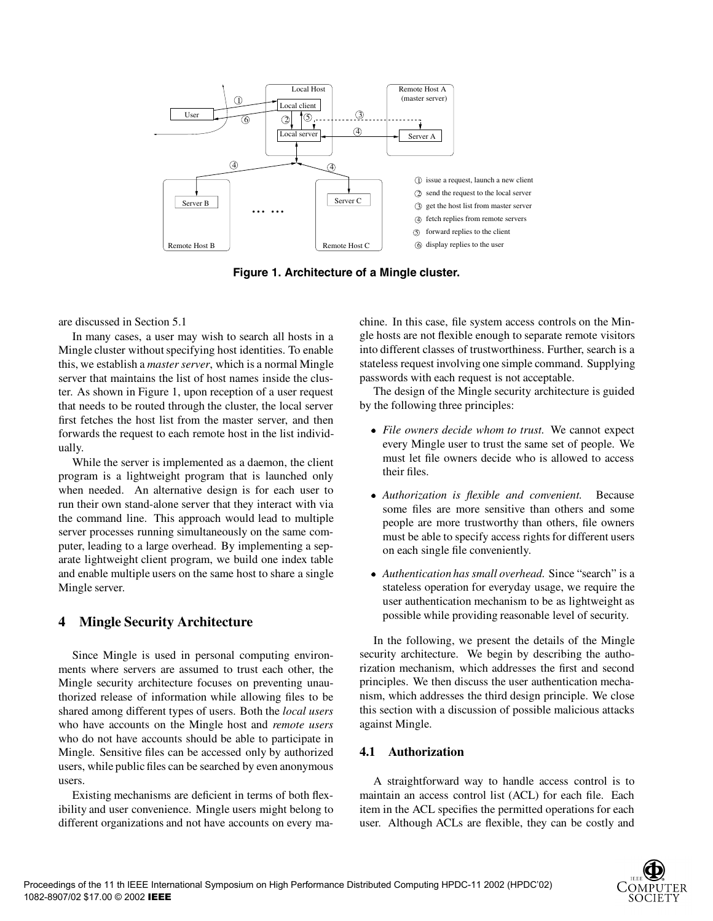

**Figure 1. Architecture of a Mingle cluster.**

are discussed in Section 5.1

In many cases, a user may wish to search all hosts in a Mingle cluster without specifying host identities. To enable this, we establish a *master server*, which is a normal Mingle server that maintains the list of host names inside the cluster. As shown in Figure 1, upon reception of a user request that needs to be routed through the cluster, the local server first fetches the host list from the master server, and then forwards the request to each remote host in the list individually.

While the server is implemented as a daemon, the client program is a lightweight program that is launched only when needed. An alternative design is for each user to run their own stand-alone server that they interact with via the command line. This approach would lead to multiple server processes running simultaneously on the same computer, leading to a large overhead. By implementing a separate lightweight client program, we build one index table and enable multiple users on the same host to share a single Mingle server.

# **4 Mingle Security Architecture**

Since Mingle is used in personal computing environments where servers are assumed to trust each other, the Mingle security architecture focuses on preventing unauthorized release of information while allowing files to be shared among different types of users. Both the *local users* who have accounts on the Mingle host and *remote users* who do not have accounts should be able to participate in Mingle. Sensitive files can be accessed only by authorized users, while public files can be searched by even anonymous users.

Existing mechanisms are deficient in terms of both flexibility and user convenience. Mingle users might belong to different organizations and not have accounts on every machine. In this case, file system access controls on the Mingle hosts are not flexible enough to separate remote visitors into different classes of trustworthiness. Further, search is a stateless request involving one simple command. Supplying passwords with each request is not acceptable.

The design of the Mingle security architecture is guided by the following three principles:

- *File owners decide whom to trust.* We cannot expect every Mingle user to trust the same set of people. We must let file owners decide who is allowed to access their files.
- *Authorization is flexible and convenient.* Because some files are more sensitive than others and some people are more trustworthy than others, file owners must be able to specify access rights for different users on each single file conveniently.
- *Authentication has small overhead.* Since "search" is a stateless operation for everyday usage, we require the user authentication mechanism to be as lightweight as possible while providing reasonable level of security.

In the following, we present the details of the Mingle security architecture. We begin by describing the authorization mechanism, which addresses the first and second principles. We then discuss the user authentication mechanism, which addresses the third design principle. We close this section with a discussion of possible malicious attacks against Mingle.

## **4.1 Authorization**

A straightforward way to handle access control is to maintain an access control list (ACL) for each file. Each item in the ACL specifies the permitted operations for each user. Although ACLs are flexible, they can be costly and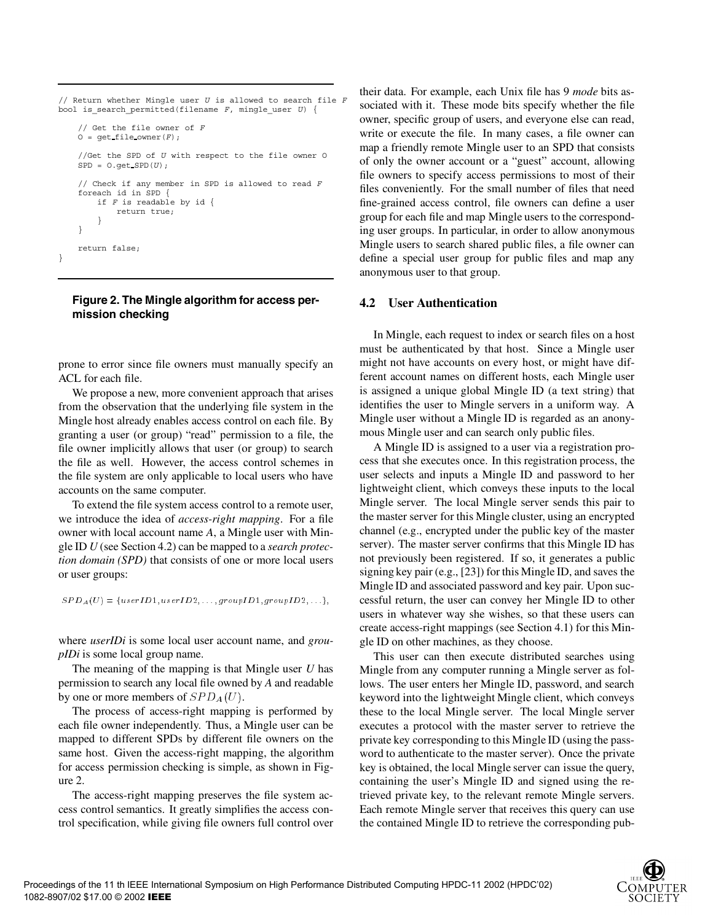```
// Return whether Mingle user U is allowed to search file Fbool is_search_permitted(filename F, mingle_user U) {
    // Get the file owner of F
    O = get-file_owner(F);
    //Get the SPD of U with respect to the file owner O
    SPD = O.get\_SPD(U);// Check if any member in SPD is allowed to read F
    foreach id in SPD {
        if F is readable by id {
            return true;
        }
    }
    return false;
}
```
#### **Figure 2. The Mingle algorithm for access permission checking**

prone to error since file owners must manually specify an ACL for each file.

We propose a new, more convenient approach that arises from the observation that the underlying file system in the Mingle host already enables access control on each file. By granting a user (or group) "read" permission to a file, the file owner implicitly allows that user (or group) to search the file as well. However, the access control schemes in the file system are only applicable to local users who have accounts on the same computer.

To extend the file system access control to a remote user, we introduce the idea of *access-right mapping*. For a file owner with local account name *A*, a Mingle user with Mingle ID *U* (see Section 4.2) can be mapped to a *search protection domain (SPD)* that consists of one or more local users or user groups:

 $SPD_A(U) = \{userID1, userID2, ..., groupID1, groupID2, ...\},$ 

where *userIDi* is some local user account name, and *groupIDi* is some local group name.

The meaning of the mapping is that Mingle user *U* has permission to search any local file owned by *A* and readable by one or more members of  $SPD<sub>A</sub>(U)$ .

The process of access-right mapping is performed by each file owner independently. Thus, a Mingle user can be mapped to different SPDs by different file owners on the same host. Given the access-right mapping, the algorithm for access permission checking is simple, as shown in Figure 2.

The access-right mapping preserves the file system access control semantics. It greatly simplifies the access control specification, while giving file owners full control over their data. For example, each Unix file has 9 *mode* bits associated with it. These mode bits specify whether the file owner, specific group of users, and everyone else can read, write or execute the file. In many cases, a file owner can map a friendly remote Mingle user to an SPD that consists of only the owner account or a "guest" account, allowing file owners to specify access permissions to most of their files conveniently. For the small number of files that need fine-grained access control, file owners can define a user group for each file and map Mingle users to the corresponding user groups. In particular, in order to allow anonymous Mingle users to search shared public files, a file owner can define a special user group for public files and map any anonymous user to that group.

#### **4.2 User Authentication**

In Mingle, each request to index or search files on a host must be authenticated by that host. Since a Mingle user might not have accounts on every host, or might have different account names on different hosts, each Mingle user is assigned a unique global Mingle ID (a text string) that identifies the user to Mingle servers in a uniform way. A Mingle user without a Mingle ID is regarded as an anonymous Mingle user and can search only public files.

A Mingle ID is assigned to a user via a registration process that she executes once. In this registration process, the user selects and inputs a Mingle ID and password to her lightweight client, which conveys these inputs to the local Mingle server. The local Mingle server sends this pair to the master server for this Mingle cluster, using an encrypted channel (e.g., encrypted under the public key of the master server). The master server confirms that this Mingle ID has not previously been registered. If so, it generates a public signing key pair (e.g., [23]) for this Mingle ID, and saves the Mingle ID and associated password and key pair. Upon successful return, the user can convey her Mingle ID to other users in whatever way she wishes, so that these users can create access-right mappings (see Section 4.1) for this Mingle ID on other machines, as they choose.

This user can then execute distributed searches using Mingle from any computer running a Mingle server as follows. The user enters her Mingle ID, password, and search keyword into the lightweight Mingle client, which conveys these to the local Mingle server. The local Mingle server executes a protocol with the master server to retrieve the private key corresponding to this Mingle ID (using the password to authenticate to the master server). Once the private key is obtained, the local Mingle server can issue the query, containing the user's Mingle ID and signed using the retrieved private key, to the relevant remote Mingle servers. Each remote Mingle server that receives this query can use the contained Mingle ID to retrieve the corresponding pub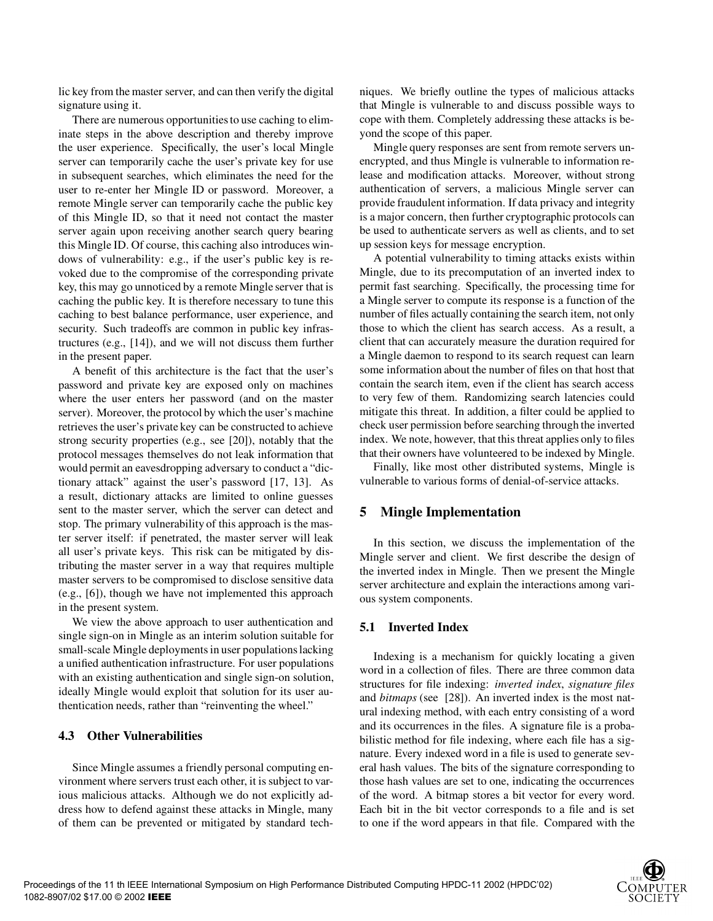lic key from the master server, and can then verify the digital signature using it.

There are numerous opportunities to use caching to eliminate steps in the above description and thereby improve the user experience. Specifically, the user's local Mingle server can temporarily cache the user's private key for use in subsequent searches, which eliminates the need for the user to re-enter her Mingle ID or password. Moreover, a remote Mingle server can temporarily cache the public key of this Mingle ID, so that it need not contact the master server again upon receiving another search query bearing this Mingle ID. Of course, this caching also introduces windows of vulnerability: e.g., if the user's public key is revoked due to the compromise of the corresponding private key, this may go unnoticed by a remote Mingle server that is caching the public key. It is therefore necessary to tune this caching to best balance performance, user experience, and security. Such tradeoffs are common in public key infrastructures (e.g., [14]), and we will not discuss them further in the present paper.

A benefit of this architecture is the fact that the user's password and private key are exposed only on machines where the user enters her password (and on the master server). Moreover, the protocol by which the user's machine retrieves the user's private key can be constructed to achieve strong security properties (e.g., see [20]), notably that the protocol messages themselves do not leak information that would permit an eavesdropping adversary to conduct a "dictionary attack" against the user's password [17, 13]. As a result, dictionary attacks are limited to online guesses sent to the master server, which the server can detect and stop. The primary vulnerability of this approach is the master server itself: if penetrated, the master server will leak all user's private keys. This risk can be mitigated by distributing the master server in a way that requires multiple master servers to be compromised to disclose sensitive data (e.g., [6]), though we have not implemented this approach in the present system.

We view the above approach to user authentication and single sign-on in Mingle as an interim solution suitable for small-scale Mingle deployments in user populations lacking a unified authentication infrastructure. For user populations with an existing authentication and single sign-on solution, ideally Mingle would exploit that solution for its user authentication needs, rather than "reinventing the wheel."

#### **4.3 Other Vulnerabilities**

Since Mingle assumes a friendly personal computing environment where servers trust each other, it is subject to various malicious attacks. Although we do not explicitly address how to defend against these attacks in Mingle, many of them can be prevented or mitigated by standard techniques. We briefly outline the types of malicious attacks that Mingle is vulnerable to and discuss possible ways to cope with them. Completely addressing these attacks is beyond the scope of this paper.

Mingle query responses are sent from remote servers unencrypted, and thus Mingle is vulnerable to information release and modification attacks. Moreover, without strong authentication of servers, a malicious Mingle server can provide fraudulent information. If data privacy and integrity is a major concern, then further cryptographic protocols can be used to authenticate servers as well as clients, and to set up session keys for message encryption.

A potential vulnerability to timing attacks exists within Mingle, due to its precomputation of an inverted index to permit fast searching. Specifically, the processing time for a Mingle server to compute its response is a function of the number of files actually containing the search item, not only those to which the client has search access. As a result, a client that can accurately measure the duration required for a Mingle daemon to respond to its search request can learn some information about the number of files on that host that contain the search item, even if the client has search access to very few of them. Randomizing search latencies could mitigate this threat. In addition, a filter could be applied to check user permission before searching through the inverted index. We note, however, that this threat applies only to files that their owners have volunteered to be indexed by Mingle.

Finally, like most other distributed systems, Mingle is vulnerable to various forms of denial-of-service attacks.

#### **5 Mingle Implementation**

In this section, we discuss the implementation of the Mingle server and client. We first describe the design of the inverted index in Mingle. Then we present the Mingle server architecture and explain the interactions among various system components.

## **5.1 Inverted Index**

Indexing is a mechanism for quickly locating a given word in a collection of files. There are three common data structures for file indexing: *inverted index*, *signature files* and *bitmaps* (see [28]). An inverted index is the most natural indexing method, with each entry consisting of a word and its occurrences in the files. A signature file is a probabilistic method for file indexing, where each file has a signature. Every indexed word in a file is used to generate several hash values. The bits of the signature corresponding to those hash values are set to one, indicating the occurrences of the word. A bitmap stores a bit vector for every word. Each bit in the bit vector corresponds to a file and is set to one if the word appears in that file. Compared with the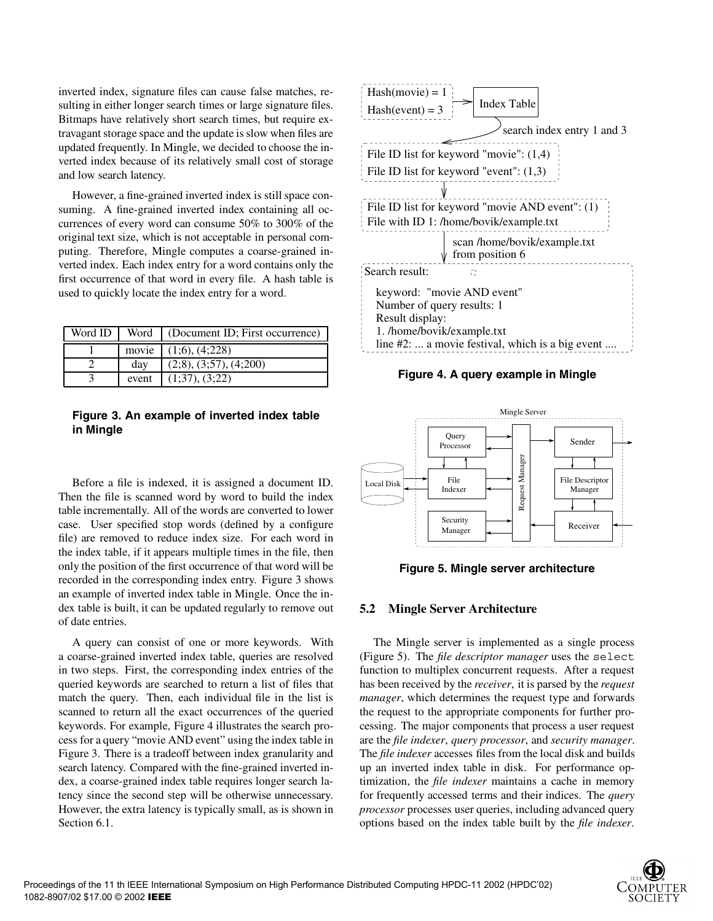inverted index, signature files can cause false matches, resulting in either longer search times or large signature files. Bitmaps have relatively short search times, but require extravagant storage space and the update is slow when files are updated frequently. In Mingle, we decided to choose the inverted index because of its relatively small cost of storage and low search latency.

However, a fine-grained inverted index is still space consuming. A fine-grained inverted index containing all occurrences of every word can consume 50% to 300% of the original text size, which is not acceptable in personal computing. Therefore, Mingle computes a coarse-grained inverted index. Each index entry for a word contains only the first occurrence of that word in every file. A hash table is used to quickly locate the index entry for a word.

|       | Word ID   Word   (Document ID; First occurrence) |
|-------|--------------------------------------------------|
|       | movie $(1,6)$ , $(4,228)$                        |
| dav   | $(2;8)$ , $(3;57)$ , $(4;200)$                   |
| event | (1;37), (3;22)                                   |

**Figure 3. An example of inverted index table in Mingle**

Before a file is indexed, it is assigned a document ID. Then the file is scanned word by word to build the index table incrementally. All of the words are converted to lower case. User specified stop words (defined by a configure file) are removed to reduce index size. For each word in the index table, if it appears multiple times in the file, then only the position of the first occurrence of that word will be recorded in the corresponding index entry. Figure 3 shows an example of inverted index table in Mingle. Once the index table is built, it can be updated regularly to remove out of date entries.

A query can consist of one or more keywords. With a coarse-grained inverted index table, queries are resolved in two steps. First, the corresponding index entries of the queried keywords are searched to return a list of files that match the query. Then, each individual file in the list is scanned to return all the exact occurrences of the queried keywords. For example, Figure 4 illustrates the search process for a query "movie AND event" using the index table in Figure 3. There is a tradeoff between index granularity and search latency. Compared with the fine-grained inverted index, a coarse-grained index table requires longer search latency since the second step will be otherwise unnecessary. However, the extra latency is typically small, as is shown in Section 6.1.



**Figure 4. A query example in Mingle**



**Figure 5. Mingle server architecture**

# **5.2 Mingle Server Architecture**

The Mingle server is implemented as a single process (Figure 5). The *file descriptor manager* uses the select function to multiplex concurrent requests. After a request has been received by the *receiver*, it is parsed by the *request manager*, which determines the request type and forwards the request to the appropriate components for further processing. The major components that process a user request are the *file indexer*, *query processor*, and *security manager*. The *file indexer* accesses files from the local disk and builds up an inverted index table in disk. For performance optimization, the *file indexer* maintains a cache in memory for frequently accessed terms and their indices. The *query processor* processes user queries, including advanced query options based on the index table built by the *file indexer*.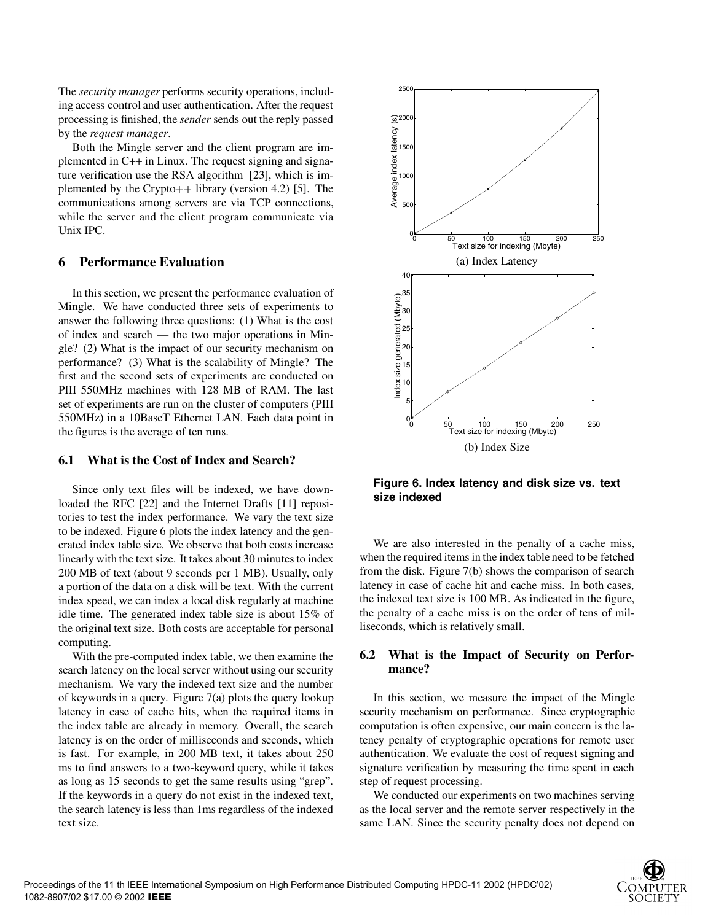The *security manager* performs security operations, including access control and user authentication. After the request processing is finished, the *sender* sends out the reply passed by the *request manager*.

Both the Mingle server and the client program are implemented in C++ in Linux. The request signing and signature verification use the RSA algorithm [23], which is implemented by the Crypto++ library (version 4.2) [5]. The communications among servers are via TCP connections, while the server and the client program communicate via Unix IPC.

# **6 Performance Evaluation**

In this section, we present the performance evaluation of Mingle. We have conducted three sets of experiments to answer the following three questions: (1) What is the cost of index and search — the two major operations in Mingle? (2) What is the impact of our security mechanism on performance? (3) What is the scalability of Mingle? The first and the second sets of experiments are conducted on PIII 550MHz machines with 128 MB of RAM. The last set of experiments are run on the cluster of computers (PIII 550MHz) in a 10BaseT Ethernet LAN. Each data point in the figures is the average of ten runs.

#### **6.1 What is the Cost of Index and Search?**

Since only text files will be indexed, we have downloaded the RFC [22] and the Internet Drafts [11] repositories to test the index performance. We vary the text size to be indexed. Figure 6 plots the index latency and the generated index table size. We observe that both costs increase linearly with the text size. It takes about 30 minutes to index 200 MB of text (about 9 seconds per 1 MB). Usually, only a portion of the data on a disk will be text. With the current index speed, we can index a local disk regularly at machine idle time. The generated index table size is about 15% of the original text size. Both costs are acceptable for personal computing.

With the pre-computed index table, we then examine the search latency on the local server without using our security mechanism. We vary the indexed text size and the number of keywords in a query. Figure 7(a) plots the query lookup latency in case of cache hits, when the required items in the index table are already in memory. Overall, the search latency is on the order of milliseconds and seconds, which is fast. For example, in 200 MB text, it takes about 250 ms to find answers to a two-keyword query, while it takes as long as 15 seconds to get the same results using "grep". If the keywords in a query do not exist in the indexed text, the search latency is less than 1ms regardless of the indexed text size.



**Figure 6. Index latency and disk size vs. text size indexed**

We are also interested in the penalty of a cache miss, when the required items in the index table need to be fetched from the disk. Figure 7(b) shows the comparison of search latency in case of cache hit and cache miss. In both cases, the indexed text size is 100 MB. As indicated in the figure, the penalty of a cache miss is on the order of tens of milliseconds, which is relatively small.

## **6.2 What is the Impact of Security on Performance?**

In this section, we measure the impact of the Mingle security mechanism on performance. Since cryptographic computation is often expensive, our main concern is the latency penalty of cryptographic operations for remote user authentication. We evaluate the cost of request signing and signature verification by measuring the time spent in each step of request processing.

We conducted our experiments on two machines serving as the local server and the remote server respectively in the same LAN. Since the security penalty does not depend on

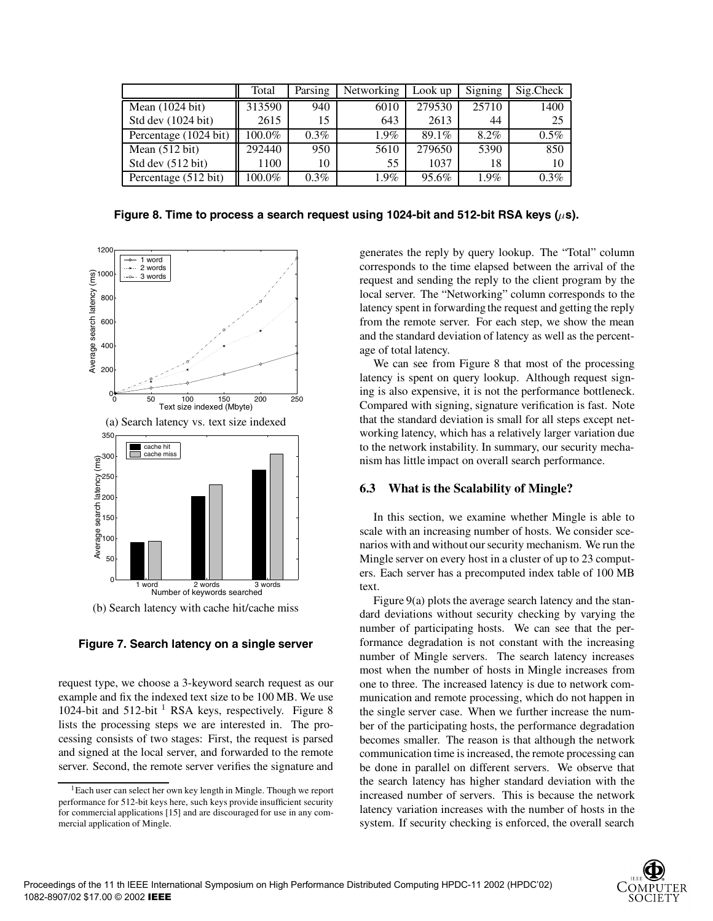|                             | Total  | Parsing | Networking | Look up | Signing | Sig.Check |
|-----------------------------|--------|---------|------------|---------|---------|-----------|
| Mean $(1024 \text{ bit})$   | 313590 | 940     | 6010       | 279530  | 25710   | 1400      |
| Std dev (1024 bit)          | 2615   | 15      | 643        | 2613    | 44      | 25        |
| Percentage (1024 bit)       | 100.0% | $0.3\%$ | $1.9\%$    | 89.1%   | $8.2\%$ | $0.5\%$   |
| Mean $(512 \text{ bit})$    | 292440 | 950     | 5610       | 279650  | 5390    | 850       |
| Std dev $(512 \text{ bit})$ | 1100   | 10      | 55         | 1037    | 18      | 10        |
| Percentage (512 bit)        | 100.0% | $0.3\%$ | l.9%       | 95.6%   | $1.9\%$ | $0.3\%$   |

**Figure 8. Time to process a search request using 1024-bit and 512-bit RSA keys (s).**



**Figure 7. Search latency on a single server**

request type, we choose a 3-keyword search request as our example and fix the indexed text size to be 100 MB. We use 1024-bit and 512-bit  $<sup>1</sup>$  RSA keys, respectively. Figure 8</sup> lists the processing steps we are interested in. The processing consists of two stages: First, the request is parsed and signed at the local server, and forwarded to the remote server. Second, the remote server verifies the signature and

generates the reply by query lookup. The "Total" column corresponds to the time elapsed between the arrival of the request and sending the reply to the client program by the local server. The "Networking" column corresponds to the latency spent in forwarding the request and getting the reply from the remote server. For each step, we show the mean and the standard deviation of latency as well as the percentage of total latency.

We can see from Figure 8 that most of the processing latency is spent on query lookup. Although request signing is also expensive, it is not the performance bottleneck. Compared with signing, signature verification is fast. Note that the standard deviation is small for all steps except networking latency, which has a relatively larger variation due to the network instability. In summary, our security mechanism has little impact on overall search performance.

#### **6.3 What is the Scalability of Mingle?**

In this section, we examine whether Mingle is able to scale with an increasing number of hosts. We consider scenarios with and without our security mechanism. We run the Mingle server on every host in a cluster of up to 23 computers. Each server has a precomputed index table of 100 MB text.

Figure 9(a) plots the average search latency and the standard deviations without security checking by varying the number of participating hosts. We can see that the performance degradation is not constant with the increasing number of Mingle servers. The search latency increases most when the number of hosts in Mingle increases from one to three. The increased latency is due to network communication and remote processing, which do not happen in the single server case. When we further increase the number of the participating hosts, the performance degradation becomes smaller. The reason is that although the network communication time is increased, the remote processing can be done in parallel on different servers. We observe that the search latency has higher standard deviation with the increased number of servers. This is because the network latency variation increases with the number of hosts in the system. If security checking is enforced, the overall search

<sup>1</sup>Each user can select her own key length in Mingle. Though we report performance for 512-bit keys here, such keys provide insufficient security for commercial applications [15] and are discouraged for use in any commercial application of Mingle.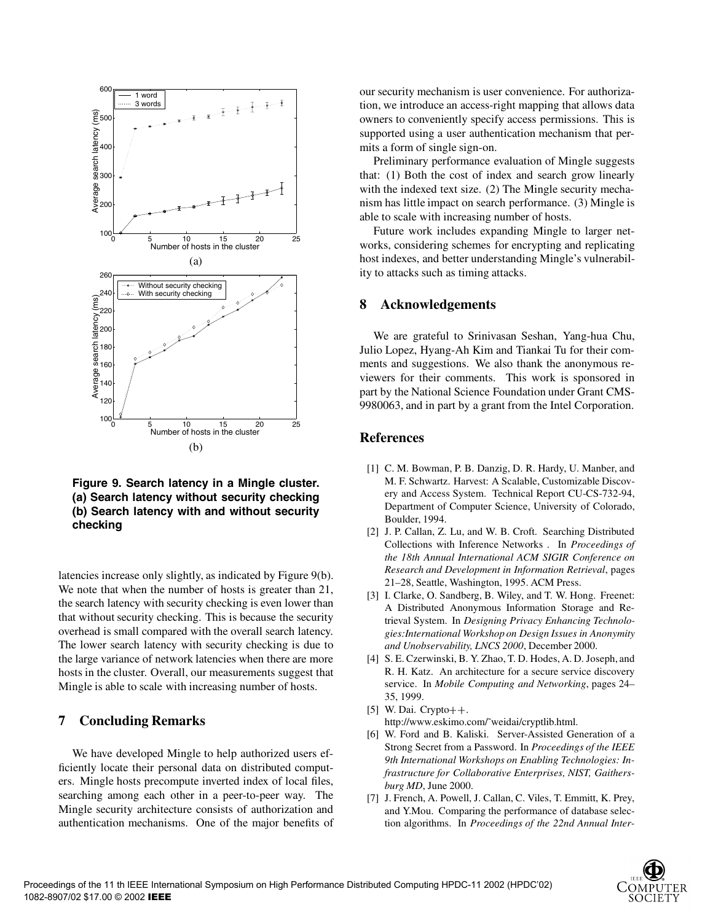

**Figure 9. Search latency in a Mingle cluster. (a) Search latency without security checking (b) Search latency with and without security checking**

latencies increase only slightly, as indicated by Figure 9(b). We note that when the number of hosts is greater than 21, the search latency with security checking is even lower than that without security checking. This is because the security overhead is small compared with the overall search latency. The lower search latency with security checking is due to the large variance of network latencies when there are more hosts in the cluster. Overall, our measurements suggest that Mingle is able to scale with increasing number of hosts.

# **7 Concluding Remarks**

We have developed Mingle to help authorized users efficiently locate their personal data on distributed computers. Mingle hosts precompute inverted index of local files, searching among each other in a peer-to-peer way. The Mingle security architecture consists of authorization and authentication mechanisms. One of the major benefits of our security mechanism is user convenience. For authorization, we introduce an access-right mapping that allows data owners to conveniently specify access permissions. This is supported using a user authentication mechanism that permits a form of single sign-on.

Preliminary performance evaluation of Mingle suggests that: (1) Both the cost of index and search grow linearly with the indexed text size. (2) The Mingle security mechanism has little impact on search performance. (3) Mingle is able to scale with increasing number of hosts.

Future work includes expanding Mingle to larger networks, considering schemes for encrypting and replicating host indexes, and better understanding Mingle's vulnerability to attacks such as timing attacks.

### **8 Acknowledgements**

We are grateful to Srinivasan Seshan, Yang-hua Chu, Julio Lopez, Hyang-Ah Kim and Tiankai Tu for their comments and suggestions. We also thank the anonymous reviewers for their comments. This work is sponsored in part by the National Science Foundation under Grant CMS-9980063, and in part by a grant from the Intel Corporation.

#### **References**

- [1] C. M. Bowman, P. B. Danzig, D. R. Hardy, U. Manber, and M. F. Schwartz. Harvest: A Scalable, Customizable Discovery and Access System. Technical Report CU-CS-732-94, Department of Computer Science, University of Colorado, Boulder, 1994.
- [2] J. P. Callan, Z. Lu, and W. B. Croft. Searching Distributed Collections with Inference Networks . In *Proceedings of the 18th Annual International ACM SIGIR Conference on Research and Development in Information Retrieval*, pages 21–28, Seattle, Washington, 1995. ACM Press.
- [3] I. Clarke, O. Sandberg, B. Wiley, and T. W. Hong. Freenet: A Distributed Anonymous Information Storage and Retrieval System. In *Designing Privacy Enhancing Technologies:International Workshop on Design Issues in Anonymity and Unobservability, LNCS 2000*, December 2000.
- [4] S. E. Czerwinski, B. Y. Zhao, T. D. Hodes, A. D. Joseph, and R. H. Katz. An architecture for a secure service discovery service. In *Mobile Computing and Networking*, pages 24– 35, 1999.
- [5] W. Dai. Crypto++.
	- http://www.eskimo.com/˜weidai/cryptlib.html.
- [6] W. Ford and B. Kaliski. Server-Assisted Generation of a Strong Secret from a Password. In *Proceedings of the IEEE 9th International Workshops on Enabling Technologies: Infrastructure for Collaborative Enterprises, NIST, Gaithersburg MD*, June 2000.
- [7] J. French, A. Powell, J. Callan, C. Viles, T. Emmitt, K. Prey, and Y.Mou. Comparing the performance of database selection algorithms. In *Proceedings of the 22nd Annual Inter-*